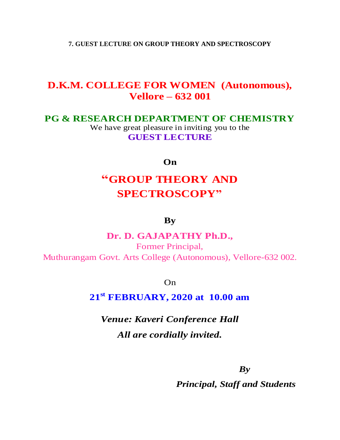**7. GUEST LECTURE ON GROUP THEORY AND SPECTROSCOPY**

## **D.K.M. COLLEGE FOR WOMEN (Autonomous), Vellore – 632 001**

### **PG & RESEARCH DEPARTMENT OF CHEMISTRY**

We have great pleasure in inviting you to the **GUEST LECTURE** 

#### **On**

# **"GROUP THEORY AND SPECTROSCOPY"**

### **By**

### **Dr. D. GAJAPATHY Ph.D.,**

Former Principal, Muthurangam Govt. Arts College (Autonomous), Vellore-632 002.

On

**<sup>21</sup>st FEBRUARY, <sup>2020</sup> at 10.00 am**

*Venue: Kaveri Conference Hall All are cordially invited.*

 *By*

 *Principal, Staff and Students*